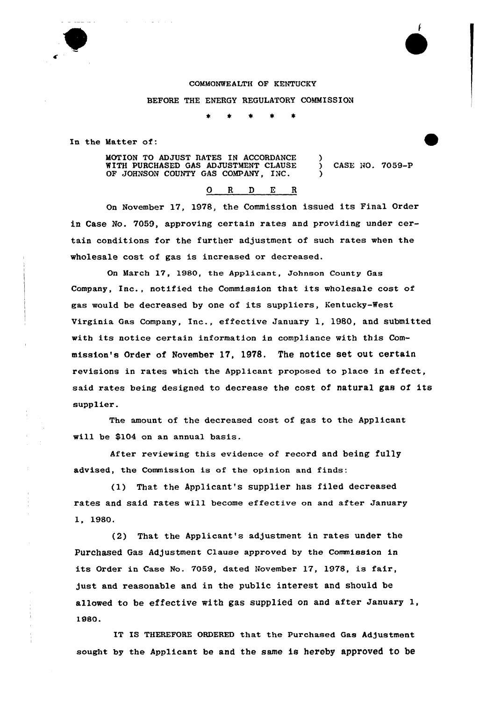# COMMONWEALTH OF KENTUCKY BEFORE THE ENERGY REGULATORY COMMISSION

In the Matter of:

MOTION TO ADJUST RATES IN ACCORDANCE WITH PURCHASED GAS ADJUSTMENT CLAUSE ) CASE NO. 7059-P OF JOHNSON COUNTY GAS COMPANY, INC.

## O R D E R

On November 17, 1978, the Commission issued its Final Order in Case No. 7059, approving certain rates and providing under certain conditions for the further adjustment of such rates when the wholesale cost of gas is increased or decreased.

On March 17, 1980, the Applicant, Johnson County Gas Company, Inc., notified the Commission that its wholesale cost of gas would be decreased by one of its suppliers, Kentucky-West Virginia Gas Company, Inc., effective January 1, 1980, and submitted with its notice certain information in compliance with this Commission's Order of November 17, 1978. The notice set out certain revisions in rates which the Applicant proposed to place in effect, said rates being designed to decrease the cost of natural gas of its supplier.

The amount of the decreased cost of gas to the Applicant will be \$104 on an annual basis.

After reviewing this evidence of record and being fully advised, the Commission is of the opinion and finds:

(1) That the Applicant's supplier has filed decreased rates and said rates will become effective on and after January 1, 1980

'2) That the Applicant's adjustment in rates under the Purchased Gas Adjustment Clause approved by the Commission in its Order in Case No. 7059, dated November 17, 1978, is fair, just and reasonable and in the public interest and should be allowed to be effective with gas supplied on and after January 1, 1980.

IT IS THEREFORE ORDERED that the Purchased Gas Adjustment sought by the Applicant be and the same is hereby approved to be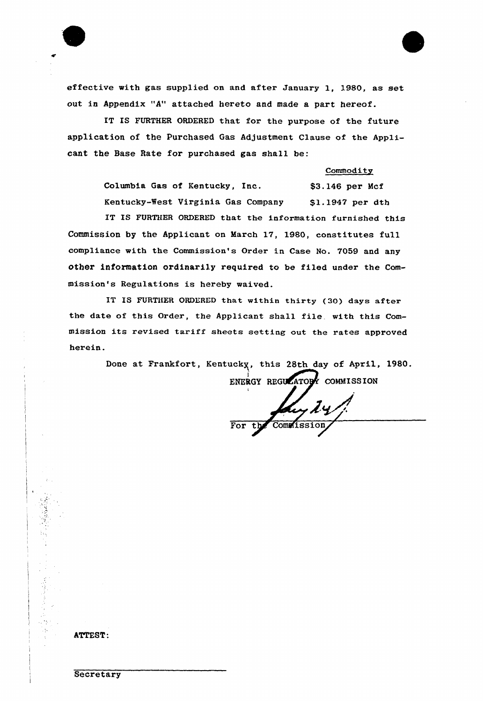

effective with gas supplied on and after January 1, 1980, as set out in Appendix "A" attached hereto and made a part hereof.

IT IS FURTHER ORDERED that for the purpose of the future application of the Purchased Gas Adjustment Clause of the Applicant the Base Rate for purchased gas shall be:

#### Commodity

Columbia Gas of Kentucky, Inc. \$3.146 per Mcf Kentucky-West Virginia Gas Company \$1.1947 per dth

IT IS FURTHER ORDERED that the information furnished this Commission by the Applicant on March 17, 1980, constitutes fu11 compliance with the Commission's Order in Case No. 7059 and any other information ordinarily required to be filed under the Commission's Regulations is hereby waived.

IT IS FURTHER ORDERED that within thirty (30) days after the date of this Order, the Applicant shall file. with this Commission its revised tariff sheets setting out the rates approved herein.

Done at Frankfort, Kentucky, this 28th day of April, 1980.

ENERGY REGULATORY COMMISSION t Ly 24 Commission

**ATTEST:** 

**Secretary**